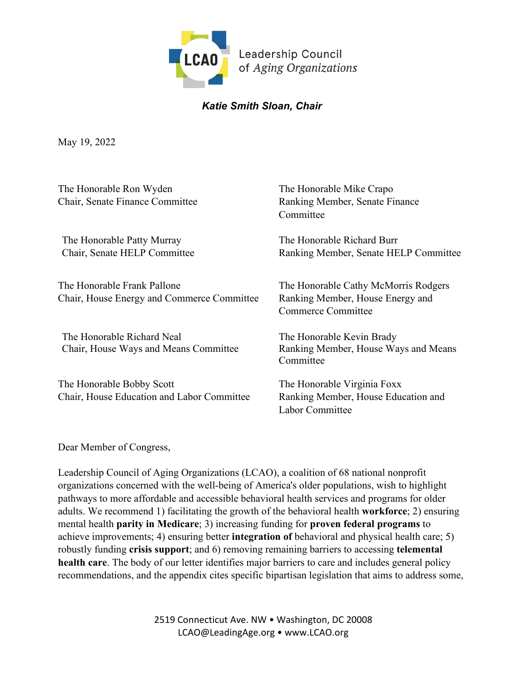

# *Katie Smith Sloan, Chair*

May 19, 2022

| The Honorable Ron Wyden<br>Chair, Senate Finance Committee                | The Honorable Mike Crapo<br>Ranking Member, Senate Finance<br>Committee                        |
|---------------------------------------------------------------------------|------------------------------------------------------------------------------------------------|
| The Honorable Patty Murray<br>Chair, Senate HELP Committee                | The Honorable Richard Burr<br>Ranking Member, Senate HELP Committee                            |
| The Honorable Frank Pallone<br>Chair, House Energy and Commerce Committee | The Honorable Cathy McMorris Rodgers<br>Ranking Member, House Energy and<br>Commerce Committee |
| The Honorable Richard Neal<br>Chair, House Ways and Means Committee       | The Honorable Kevin Brady<br>Ranking Member, House Ways and Means<br>Committee                 |
| The Honorable Bobby Scott<br>Chair, House Education and Labor Committee   | The Honorable Virginia Foxx<br>Ranking Member, House Education and<br>Labor Committee          |

Dear Member of Congress,

Leadership Council of Aging Organizations (LCAO), a coalition of 68 national nonprofit organizations concerned with the well-being of America's older populations, wish to highlight pathways to more affordable and accessible behavioral health services and programs for older adults. We recommend 1) facilitating the growth of the behavioral health **workforce**; 2) ensuring mental health **parity in Medicare**; 3) increasing funding for **proven federal programs** to achieve improvements; 4) ensuring better **integration of** behavioral and physical health care; 5) robustly funding **crisis support**; and 6) removing remaining barriers to accessing **telemental health care**. The body of our letter identifies major barriers to care and includes general policy recommendations, and the appendix cites specific bipartisan legislation that aims to address some,

> 2519 Connecticut Ave. NW • Washington, DC 20008 LCAO@LeadingAge.org • www.LCAO.org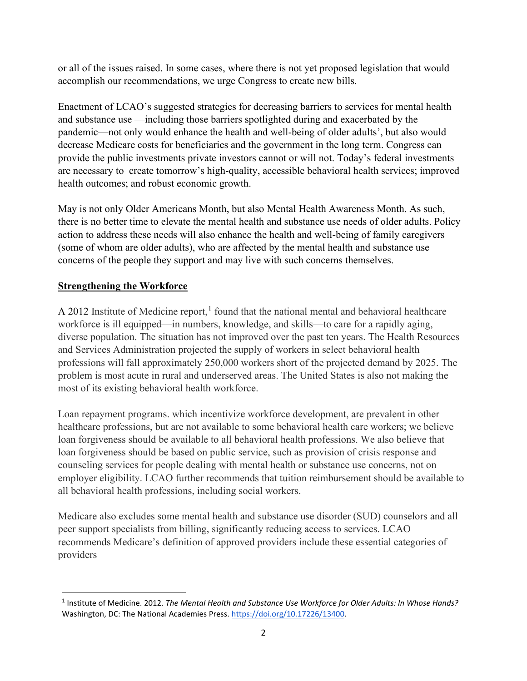or all of the issues raised. In some cases, where there is not yet proposed legislation that would accomplish our recommendations, we urge Congress to create new bills.

Enactment of LCAO's suggested strategies for decreasing barriers to services for mental health and substance use —including those barriers spotlighted during and exacerbated by the pandemic—not only would enhance the health and well-being of older adults', but also would decrease Medicare costs for beneficiaries and the government in the long term. Congress can provide the public investments private investors cannot or will not. Today's federal investments are necessary to create tomorrow's high-quality, accessible behavioral health services; improved health outcomes; and robust economic growth.

May is not only Older Americans Month, but also Mental Health Awareness Month. As such, there is no better time to elevate the mental health and substance use needs of older adults. Policy action to address these needs will also enhance the health and well-being of family caregivers (some of whom are older adults), who are affected by the mental health and substance use concerns of the people they support and may live with such concerns themselves.

## **Strengthening the Workforce**

A 20[1](#page-1-0)2 Institute of Medicine report, $<sup>1</sup>$  found that the national mental and behavioral healthcare</sup> workforce is ill equipped—in numbers, knowledge, and skills—to care for a rapidly aging, diverse population. The situation has not improved over the past ten years. The Health Resources and Services Administration projected the supply of workers in select behavioral health professions will fall approximately 250,000 workers short of the projected demand by 2025. The problem is most acute in rural and underserved areas. The United States is also not making the most of its existing behavioral health workforce.

Loan repayment programs. which incentivize workforce development, are prevalent in other healthcare professions, but are not available to some behavioral health care workers; we believe loan forgiveness should be available to all behavioral health professions. We also believe that loan forgiveness should be based on public service, such as provision of crisis response and counseling services for people dealing with mental health or substance use concerns, not on employer eligibility. LCAO further recommends that tuition reimbursement should be available to all behavioral health professions, including social workers.

Medicare also excludes some mental health and substance use disorder (SUD) counselors and all peer support specialists from billing, significantly reducing access to services. LCAO recommends Medicare's definition of approved providers include these essential categories of providers

<span id="page-1-0"></span><sup>1</sup> Institute of Medicine. 2012. *The Mental Health and Substance Use Workforce for Older Adults: In Whose Hands?* Washington, DC: The National Academies Press. [https://doi.org/10.17226/13400.](https://doi.org/10.17226/13400)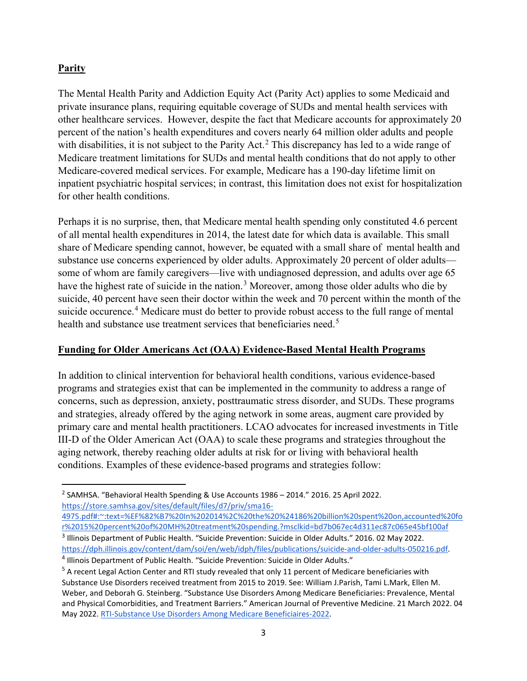## **Parity**

The Mental Health Parity and Addiction Equity Act (Parity Act) applies to some Medicaid and private insurance plans, requiring equitable coverage of SUDs and mental health services with other healthcare services. However, despite the fact that Medicare accounts for approximately 20 percent of the nation's health expenditures and covers nearly 64 million older adults and people with disabilities, it is not subject to the Parity Act.<sup>[2](#page-2-0)</sup> This discrepancy has led to a wide range of Medicare treatment limitations for SUDs and mental health conditions that do not apply to other Medicare-covered medical services. For example, Medicare has a 190-day lifetime limit on inpatient psychiatric hospital services; in contrast, this limitation does not exist for hospitalization for other health conditions.

Perhaps it is no surprise, then, that Medicare mental health spending only constituted 4.6 percent of all mental health expenditures in 2014, the latest date for which data is available. This small share of Medicare spending cannot, however, be equated with a small share of mental health and substance use concerns experienced by older adults. Approximately 20 percent of older adults some of whom are family caregivers—live with undiagnosed depression, and adults over age 65 have the highest rate of suicide in the nation.<sup>[3](#page-2-1)</sup> Moreover, among those older adults who die by suicide, 40 percent have seen their doctor within the week and 70 percent within the month of the suicide occurence.<sup>[4](#page-2-2)</sup> Medicare must do better to provide robust access to the full range of mental health and substance use treatment services that beneficiaries need.<sup>[5](#page-2-3)</sup>

## **Funding for Older Americans Act (OAA) Evidence-Based Mental Health Programs**

In addition to clinical intervention for behavioral health conditions, various evidence-based programs and strategies exist that can be implemented in the community to address a range of concerns, such as depression, anxiety, posttraumatic stress disorder, and SUDs. These programs and strategies, already offered by the aging network in some areas, augment care provided by primary care and mental health practitioners. LCAO advocates for increased investments in Title III-D of the Older American Act (OAA) to scale these programs and strategies throughout the aging network, thereby reaching older adults at risk for or living with behavioral health conditions. Examples of these evidence-based programs and strategies follow:

[4975.pdf#:~:text=%EF%82%B7%20In%202014%2C%20the%20%24186%20billion%20spent%20on,accounted%20fo](https://store.samhsa.gov/sites/default/files/d7/priv/sma16-4975.pdf#:%7E:text=%EF%82%B7%20In%202014%2C%20the%20%24186%20billion%20spent%20on,accounted%20for%2015%20percent%20of%20MH%20treatment%20spending.?msclkid=bd7b067ec4d311ec87c065e45bf100af) [r%2015%20percent%20of%20MH%20treatment%20spending.?msclkid=bd7b067ec4d311ec87c065e45bf100af](https://store.samhsa.gov/sites/default/files/d7/priv/sma16-4975.pdf#:%7E:text=%EF%82%B7%20In%202014%2C%20the%20%24186%20billion%20spent%20on,accounted%20for%2015%20percent%20of%20MH%20treatment%20spending.?msclkid=bd7b067ec4d311ec87c065e45bf100af)

<span id="page-2-0"></span><sup>2</sup> SAMHSA. "Behavioral Health Spending & Use Accounts 1986 – 2014." 2016. 25 April 2022. [https://store.samhsa.gov/sites/default/files/d7/priv/sma16-](https://store.samhsa.gov/sites/default/files/d7/priv/sma16-4975.pdf#:%7E:text=%EF%82%B7%20In%202014%2C%20the%20%24186%20billion%20spent%20on,accounted%20for%2015%20percent%20of%20MH%20treatment%20spending.?msclkid=bd7b067ec4d311ec87c065e45bf100af)

<span id="page-2-1"></span><sup>&</sup>lt;sup>3</sup> Illinois Department of Public Health. "Suicide Prevention: Suicide in Older Adults." 2016. 02 May 2022. [https://dph.illinois.gov/content/dam/soi/en/web/idph/files/publications/suicide-and-older-adults-050216.pdf.](https://dph.illinois.gov/content/dam/soi/en/web/idph/files/publications/suicide-and-older-adults-050216.pdf)<br><sup>4</sup> Illinois Department of Public Health. "Suicide Prevention: Suicide in Older Adults."

<span id="page-2-3"></span><span id="page-2-2"></span> $<sup>5</sup>$  A recent Legal Action Center and RTI study revealed that only 11 percent of Medicare beneficiaries with</sup> Substance Use Disorders received treatment from 2015 to 2019. See: William J.Parish, Tami L.Mark, Ellen M. Weber, and Deborah G. Steinberg. "Substance Use Disorders Among Medicare Beneficiaries: Prevalence, Mental and Physical Comorbidities, and Treatment Barriers." American Journal of Preventive Medicine. 21 March 2022. 04 May 2022. [RTI-Substance Use Disorders Among Medicare Beneficiaires-2022.](https://docs.google.com/document/d/1pDceDSrijiMocXPzcqmOv3b1Js0O-_2Ki7p5jCaSEZ8/edit?usp=sharing)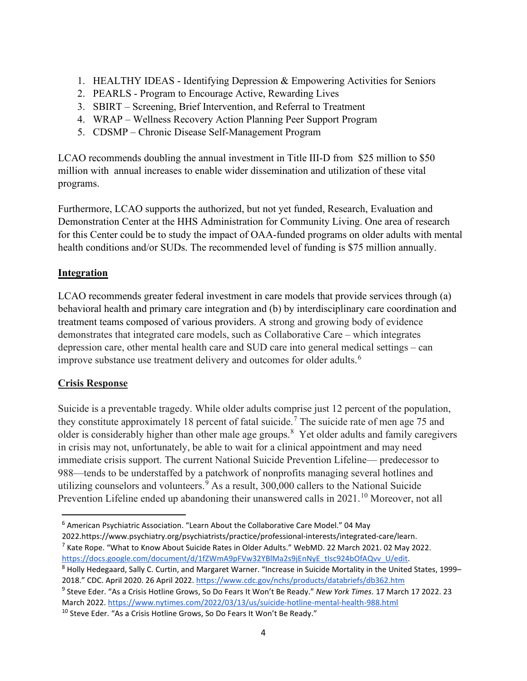- 1. HEALTHY IDEAS Identifying Depression & Empowering Activities for Seniors
- 2. PEARLS Program to Encourage Active, Rewarding Lives
- 3. SBIRT Screening, Brief Intervention, and Referral to Treatment
- 4. WRAP Wellness Recovery Action Planning Peer Support Program
- 5. CDSMP Chronic Disease Self-Management Program

LCAO recommends doubling the annual investment in Title III-D from \$25 million to \$50 million with annual increases to enable wider dissemination and utilization of these vital programs.

Furthermore, LCAO supports the authorized, but not yet funded, Research, Evaluation and Demonstration Center at the HHS Administration for Community Living. One area of research for this Center could be to study the impact of OAA-funded programs on older adults with mental health conditions and/or SUDs. The recommended level of funding is \$75 million annually.

## **Integration**

LCAO recommends greater federal investment in care models that provide services through (a) behavioral health and primary care integration and (b) by interdisciplinary care coordination and treatment teams composed of various providers. A strong and growing body of evidence demonstrates that integrated care models, such as Collaborative Care – which integrates depression care, other mental health care and SUD care into general medical settings – can improve substance use treatment delivery and outcomes for older adults.<sup>[6](#page-3-0)</sup>

## **Crisis Response**

Suicide is a preventable tragedy. While older adults comprise just 12 percent of the population, they constitute approximately 18 percent of fatal suicide.<sup>[7](#page-3-1)</sup> The suicide rate of men age 75 and older is considerably higher than other male age groups.<sup>[8](#page-3-2)</sup> Yet older adults and family caregivers in crisis may not, unfortunately, be able to wait for a clinical appointment and may need immediate crisis support. The current National Suicide Prevention Lifeline— predecessor to 988—tends to be understaffed by a patchwork of nonprofits managing several hotlines and utilizing counselors and volunteers. $9$  As a result, 300,000 callers to the National Suicide Prevention Lifeline ended up abandoning their unanswered calls in 2021.<sup>[10](#page-3-4)</sup> Moreover, not all

<span id="page-3-1"></span>2022.https://www.psychiatry.org/psychiatrists/practice/professional-interests/integrated-care/learn.<br><sup>7</sup> Kate Rope. "What to Know About Suicide Rates in Older Adults." WebMD. 22 March 2021. 02 May 2022.

<span id="page-3-4"></span> $10$  Steve Eder. "As a Crisis Hotline Grows, So Do Fears It Won't Be Ready."

<span id="page-3-0"></span><sup>6</sup> American Psychiatric Association. "Learn About the Collaborative Care Model." 04 May

<span id="page-3-2"></span>https://docs.google.com/document/d/1fZWmA9pFVw32YBlMa2s9jEnNyE\_tlsc924bOfAQvv\_U/edit. 8 Holly Hedegaard, Sally C. Curtin, and Margaret Warner. "Increase in Suicide Mortality in the United States, 1999– 2018." CDC. April 2020. 26 April 2022.<https://www.cdc.gov/nchs/products/databriefs/db362.htm>

<span id="page-3-3"></span><sup>9</sup> Steve Eder. "As a Crisis Hotline Grows, So Do Fears It Won't Be Ready." *New York Times*. 17 March 17 2022. 23 March 2022. <https://www.nytimes.com/2022/03/13/us/suicide-hotline-mental-health-988.html>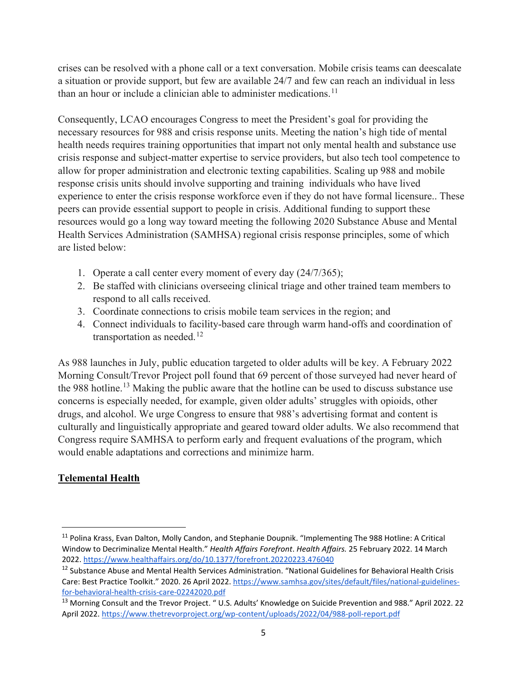crises can be resolved with a phone call or a text conversation. Mobile crisis teams can deescalate a situation or provide support, but few are available 24/7 and few can reach an individual in less than an hour or include a clinician able to administer medications.<sup>[11](#page-4-0)</sup>

Consequently, LCAO encourages Congress to meet the President's goal for providing the necessary resources for 988 and crisis response units. Meeting the nation's high tide of mental health needs requires training opportunities that impart not only mental health and substance use crisis response and subject-matter expertise to service providers, but also tech tool competence to allow for proper administration and electronic texting capabilities. Scaling up 988 and mobile response crisis units should involve supporting and training individuals who have lived experience to enter the crisis response workforce even if they do not have formal licensure.. These peers can provide essential support to people in crisis. Additional funding to support these resources would go a long way toward meeting the following 2020 Substance Abuse and Mental Health Services Administration (SAMHSA) regional crisis response principles, some of which are listed below:

- 1. Operate a call center every moment of every day (24/7/365);
- 2. Be staffed with clinicians overseeing clinical triage and other trained team members to respond to all calls received.
- 3. Coordinate connections to crisis mobile team services in the region; and
- 4. Connect individuals to facility-based care through warm hand-offs and coordination of transportation as needed.<sup>[12](#page-4-1)</sup>

As 988 launches in July, public education targeted to older adults will be key. A February 2022 Morning Consult/Trevor Project poll found that 69 percent of those surveyed had never heard of the 988 hotline.<sup>[13](#page-4-2)</sup> Making the public aware that the hotline can be used to discuss substance use concerns is especially needed, for example, given older adults' struggles with opioids, other drugs, and alcohol. We urge Congress to ensure that 988's advertising format and content is culturally and linguistically appropriate and geared toward older adults. We also recommend that Congress require SAMHSA to perform early and frequent evaluations of the program, which would enable adaptations and corrections and minimize harm.

# **Telemental Health**

<span id="page-4-0"></span><sup>&</sup>lt;sup>11</sup> Polina Krass, Evan Dalton, Molly Candon, and Stephanie Doupnik. "Implementing The 988 Hotline: A Critical Window to Decriminalize Mental Health." *Health Affairs Forefront*. *Health Affairs.* 25 February 2022. 14 March 2022. <https://www.healthaffairs.org/do/10.1377/forefront.20220223.476040>

<span id="page-4-1"></span><sup>&</sup>lt;sup>12</sup> Substance Abuse and Mental Health Services Administration. "National Guidelines for Behavioral Health Crisis Care: Best Practice Toolkit." 2020. 26 April 2022. [https://www.samhsa.gov/sites/default/files/national-guidelines](https://www.samhsa.gov/sites/default/files/national-guidelines-for-behavioral-health-crisis-care-02242020.pdf)[for-behavioral-health-crisis-care-02242020.pdf](https://www.samhsa.gov/sites/default/files/national-guidelines-for-behavioral-health-crisis-care-02242020.pdf)

<span id="page-4-2"></span><sup>&</sup>lt;sup>13</sup> Morning Consult and the Trevor Project. " U.S. Adults' Knowledge on Suicide Prevention and 988." April 2022. 22 April 2022[. https://www.thetrevorproject.org/wp-content/uploads/2022/04/988-poll-report.pdf](https://www.thetrevorproject.org/wp-content/uploads/2022/04/988-poll-report.pdf)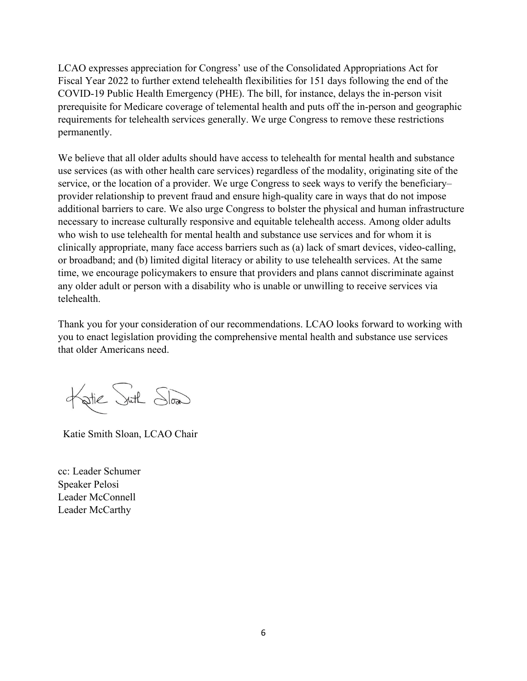LCAO expresses appreciation for Congress' use of the Consolidated Appropriations Act for Fiscal Year 2022 to further extend telehealth flexibilities for 151 days following the end of the COVID-19 Public Health Emergency (PHE). The bill, for instance, delays the in-person visit prerequisite for Medicare coverage of telemental health and puts off the in-person and geographic requirements for telehealth services generally. We urge Congress to remove these restrictions permanently.

We believe that all older adults should have access to telehealth for mental health and substance use services (as with other health care services) regardless of the modality, originating site of the service, or the location of a provider. We urge Congress to seek ways to verify the beneficiary– provider relationship to prevent fraud and ensure high-quality care in ways that do not impose additional barriers to care. We also urge Congress to bolster the physical and human infrastructure necessary to increase culturally responsive and equitable telehealth access. Among older adults who wish to use telehealth for mental health and substance use services and for whom it is clinically appropriate, many face access barriers such as (a) lack of smart devices, video-calling, or broadband; and (b) limited digital literacy or ability to use telehealth services. At the same time, we encourage policymakers to ensure that providers and plans cannot discriminate against any older adult or person with a disability who is unable or unwilling to receive services via telehealth.

Thank you for your consideration of our recommendations. LCAO looks forward to working with you to enact legislation providing the comprehensive mental health and substance use services that older Americans need.

Katie Suth Slow

Katie Smith Sloan, LCAO Chair

cc: Leader Schumer Speaker Pelosi Leader McConnell Leader McCarthy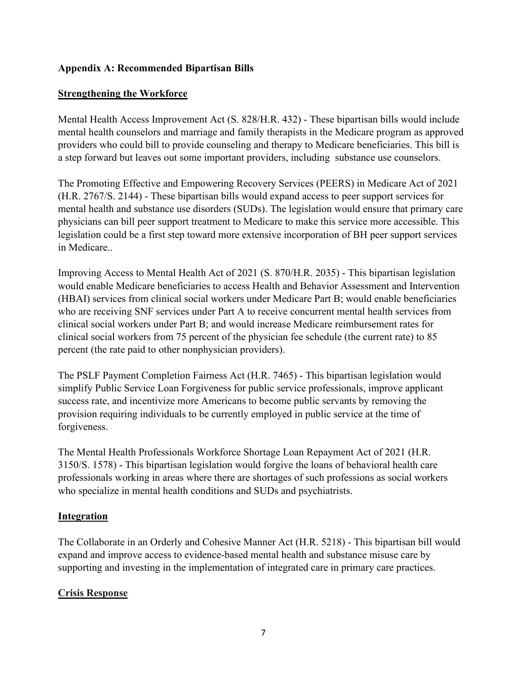## **Appendix A: Recommended Bipartisan Bills**

#### **Strengthening the Workforce**

Mental Health Access Improvement Act (S. 828/H.R. 432) - These bipartisan bills would include mental health counselors and marriage and family therapists in the Medicare program as approved providers who could bill to provide counseling and therapy to Medicare beneficiaries. This bill is a step forward but leaves out some important providers, including substance use counselors.

The Promoting Effective and Empowering Recovery Services (PEERS) in Medicare Act of 2021 (H.R. 2767/S. 2144) - These bipartisan bills would expand access to peer support services for mental health and substance use disorders (SUDs). The legislation would ensure that primary care physicians can bill peer support treatment to Medicare to make this service more accessible. This legislation could be a first step toward more extensive incorporation of BH peer support services in Medicare..

Improving Access to Mental Health Act of 2021 (S. 870/H.R. 2035) - This bipartisan legislation would enable Medicare beneficiaries to access Health and Behavior Assessment and Intervention (HBAI) services from clinical social workers under Medicare Part B; would enable beneficiaries who are receiving SNF services under Part A to receive concurrent mental health services from clinical social workers under Part B; and would increase Medicare reimbursement rates for clinical social workers from 75 percent of the physician fee schedule (the current rate) to 85 percent (the rate paid to other nonphysician providers).

The PSLF Payment Completion Fairness Act (H.R. 7465) - This bipartisan legislation would simplify Public Service Loan Forgiveness for public service professionals, improve applicant success rate, and incentivize more Americans to become public servants by removing the provision requiring individuals to be currently employed in public service at the time of forgiveness.

The Mental Health Professionals Workforce Shortage Loan Repayment Act of 2021 (H.R. 3150/S. 1578) - This bipartisan legislation would forgive the loans of behavioral health care professionals working in areas where there are shortages of such professions as social workers who specialize in mental health conditions and SUDs and psychiatrists.

## **Integration**

The Collaborate in an Orderly and Cohesive Manner Act (H.R. 5218) - This bipartisan bill would expand and improve access to evidence-based mental health and substance misuse care by supporting and investing in the implementation of integrated care in primary care practices.

## **Crisis Response**